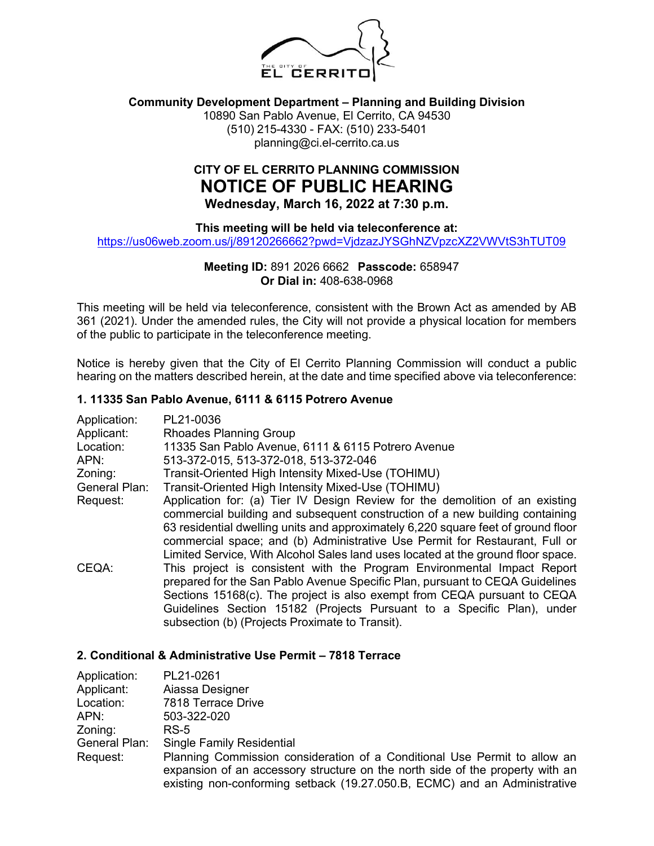

## **Community Development Department – Planning and Building Division**

10890 San Pablo Avenue, El Cerrito, CA 94530 (510) 215-4330 - FAX: (510) 233-5401 planning@ci.el-cerrito.ca.us

# **CITY OF EL CERRITO PLANNING COMMISSION NOTICE OF PUBLIC HEARING Wednesday, March 16, 2022 at 7:30 p.m.**

**This meeting will be held via teleconference at:**

<https://us06web.zoom.us/j/89120266662?pwd=VjdzazJYSGhNZVpzcXZ2VWVtS3hTUT09>

## **Meeting ID:** 891 2026 6662 **Passcode:** 658947 **Or Dial in:** 408-638-0968

This meeting will be held via teleconference, consistent with the Brown Act as amended by AB 361 (2021). Under the amended rules, the City will not provide a physical location for members of the public to participate in the teleconference meeting.

Notice is hereby given that the City of El Cerrito Planning Commission will conduct a public hearing on the matters described herein, at the date and time specified above via teleconference:

### **1. 11335 San Pablo Avenue, 6111 & 6115 Potrero Avenue**

| Application:<br>Applicant: | PL21-0036<br><b>Rhoades Planning Group</b>                                        |
|----------------------------|-----------------------------------------------------------------------------------|
| Location:                  | 11335 San Pablo Avenue, 6111 & 6115 Potrero Avenue                                |
| APN:                       | 513-372-015, 513-372-018, 513-372-046                                             |
| Zoning:                    | Transit-Oriented High Intensity Mixed-Use (TOHIMU)                                |
| General Plan:              | Transit-Oriented High Intensity Mixed-Use (TOHIMU)                                |
| Request:                   | Application for: (a) Tier IV Design Review for the demolition of an existing      |
|                            | commercial building and subsequent construction of a new building containing      |
|                            | 63 residential dwelling units and approximately 6,220 square feet of ground floor |
|                            | commercial space; and (b) Administrative Use Permit for Restaurant, Full or       |
|                            | Limited Service, With Alcohol Sales land uses located at the ground floor space.  |
| CEQA:                      | This project is consistent with the Program Environmental Impact Report           |
|                            | prepared for the San Pablo Avenue Specific Plan, pursuant to CEQA Guidelines      |
|                            | Sections 15168(c). The project is also exempt from CEQA pursuant to CEQA          |
|                            | Guidelines Section 15182 (Projects Pursuant to a Specific Plan), under            |
|                            | subsection (b) (Projects Proximate to Transit).                                   |

#### **2. Conditional & Administrative Use Permit – 7818 Terrace**

| Application:  | PL21-0261                                                                     |
|---------------|-------------------------------------------------------------------------------|
| Applicant:    | Aiassa Designer                                                               |
| Location:     | 7818 Terrace Drive                                                            |
| APN:          | 503-322-020                                                                   |
| Zoning:       | RS-5                                                                          |
| General Plan: | <b>Single Family Residential</b>                                              |
| Request:      | Planning Commission consideration of a Conditional Use Permit to allow an     |
|               | expansion of an accessory structure on the north side of the property with an |
|               | existing non-conforming setback (19.27.050.B, ECMC) and an Administrative     |